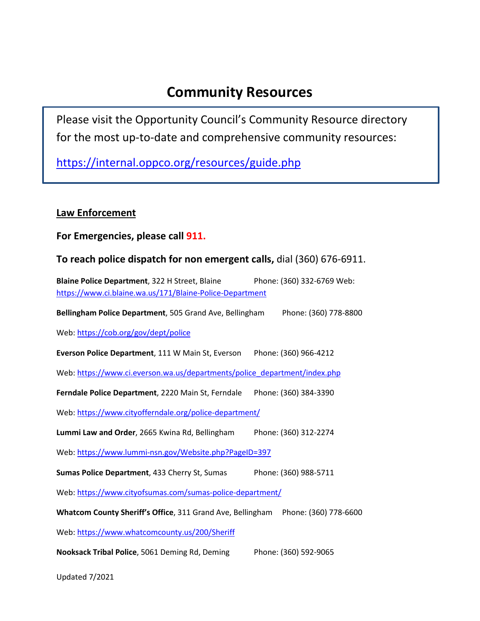# **Community Resources**

Please visit the Opportunity Council's Community Resource directory for the most up-to-date and comprehensive community resources:

<https://internal.oppco.org/resources/guide.php>

# **Law Enforcement**

## **For Emergencies, please call 911.**

## **To reach police dispatch for non emergent calls,** dial (360) 676-6911.

**Blaine Police Department**, 322 H Street, Blaine Phone: (360) 332-6769 Web: <https://www.ci.blaine.wa.us/171/Blaine-Police-Department>

**Bellingham Police Department**, 505 Grand Ave, Bellingham Phone: (360) 778-8800

Web[: https://cob.org/gov/dept/police](https://cob.org/gov/dept/police)

**Everson Police Department**, 111 W Main St, Everson Phone: (360) 966-4212

Web[: https://www.ci.everson.wa.us/departments/police\\_department/index.php](https://www.ci.everson.wa.us/departments/police_department/index.php)

**Ferndale Police Department**, 2220 Main St, Ferndale Phone: (360) 384-3390

Web[: https://www.cityofferndale.org/police-department/](https://www.cityofferndale.org/police-department/)

**Lummi Law and Order**, 2665 Kwina Rd, Bellingham Phone: (360) 312-2274

Web[: https://www.lummi-nsn.gov/Website.php?PageID=397](https://www.lummi-nsn.gov/Website.php?PageID=397)

**Sumas Police Department**, 433 Cherry St, Sumas Phone: (360) 988-5711

Web[: https://www.cityofsumas.com/sumas-police-department/](https://www.cityofsumas.com/sumas-police-department/)

**Whatcom County Sheriff's Office**, 311 Grand Ave, Bellingham Phone: (360) 778-6600

Web[: https://www.whatcomcounty.us/200/Sheriff](https://www.whatcomcounty.us/200/Sheriff)

**Nooksack Tribal Police**, 5061 Deming Rd, Deming Phone: (360) 592-9065

Updated 7/2021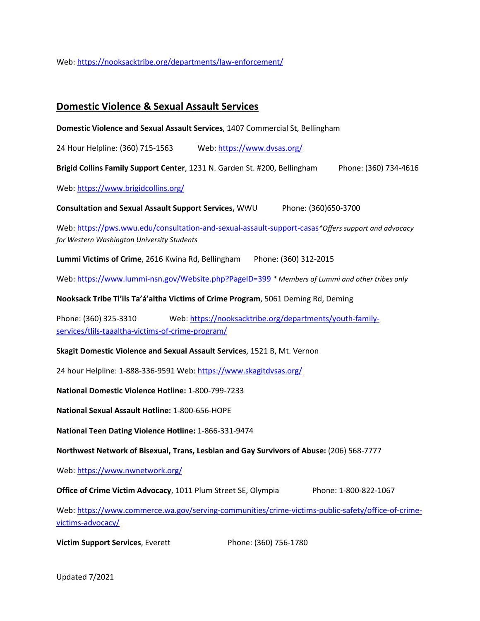Web[: https://nooksacktribe.org/departments/law-enforcement/](https://nooksacktribe.org/departments/law-enforcement/)

### **Domestic Violence & Sexual Assault Services**

**Domestic Violence and Sexual Assault Services**, 1407 Commercial St, Bellingham

24 Hour Helpline: (360) 715-1563 Web[: https://www.dvsas.org/](https://www.dvsas.org/)

**Brigid Collins Family Support Center**, 1231 N. Garden St. #200, Bellingham Phone: (360) 734-4616

Web[: https://www.brigidcollins.org/](https://www.brigidcollins.org/)

**Consultation and Sexual Assault Support Services,** WWU Phone: (360)650-3700

Web[: https://pws.wwu.edu/consultation-and-sexual-assault-support-casas](https://pws.wwu.edu/consultation-and-sexual-assault-support-casas)*\*Offers support and advocacy for Western Washington University Students*

**Lummi Victims of Crime**, 2616 Kwina Rd, Bellingham Phone: (360) 312-2015

Web[: https://www.lummi-nsn.gov/Website.php?PageID=399](https://www.lummi-nsn.gov/Website.php?PageID=399) *\* Members of Lummi and other tribes only*

**Nooksack Tribe Tl'ils Ta'á'altha Victims of Crime Program**, 5061 Deming Rd, Deming

Phone: (360) 325-3310 Web[: https://nooksacktribe.org/departments/youth-family](https://nooksacktribe.org/departments/youth-family-services/tlils-taaaltha-victims-of-crime-program/)[services/tlils-taaaltha-victims-of-crime-program/](https://nooksacktribe.org/departments/youth-family-services/tlils-taaaltha-victims-of-crime-program/)

**Skagit Domestic Violence and Sexual Assault Services**, 1521 B, Mt. Vernon

24 hour Helpline: 1-888-336-9591 Web:<https://www.skagitdvsas.org/>

**National Domestic Violence Hotline:** 1-800-799-7233

**National Sexual Assault Hotline:** 1-800-656-HOPE

**National Teen Dating Violence Hotline:** 1-866-331-9474

**Northwest Network of Bisexual, Trans, Lesbian and Gay Survivors of Abuse:** (206) 568-7777

Web[: https://www.nwnetwork.org/](https://www.nwnetwork.org/)

**Office of Crime Victim Advocacy**, 1011 Plum Street SE, Olympia Phone: 1-800-822-1067

Web[: https://www.commerce.wa.gov/serving-communities/crime-victims-public-safety/office-of-crime](https://www.commerce.wa.gov/serving-communities/crime-victims-public-safety/office-of-crime-victims-advocacy/)[victims-advocacy/](https://www.commerce.wa.gov/serving-communities/crime-victims-public-safety/office-of-crime-victims-advocacy/)

**Victim Support Services**, Everett Phone: (360) 756-1780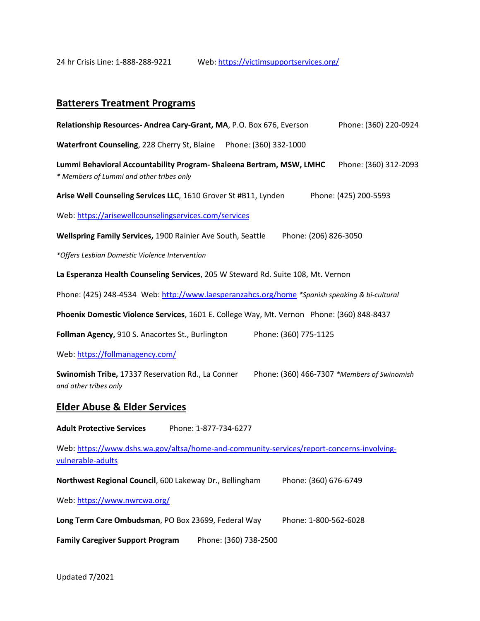24 hr Crisis Line: 1-888-288-9221 Web[: https://victimsupportservices.org/](https://victimsupportservices.org/)

# **Batterers Treatment Programs**

| Relationship Resources-Andrea Cary-Grant, MA, P.O. Box 676, Everson                                                       | Phone: (360) 220-0924 |
|---------------------------------------------------------------------------------------------------------------------------|-----------------------|
| Waterfront Counseling, 228 Cherry St, Blaine Phone: (360) 332-1000                                                        |                       |
| Lummi Behavioral Accountability Program- Shaleena Bertram, MSW, LMHC<br>* Members of Lummi and other tribes only          | Phone: (360) 312-2093 |
| Arise Well Counseling Services LLC, 1610 Grover St #B11, Lynden                                                           | Phone: (425) 200-5593 |
| Web: https://arisewellcounselingservices.com/services                                                                     |                       |
| Wellspring Family Services, 1900 Rainier Ave South, Seattle<br>Phone: (206) 826-3050                                      |                       |
| *Offers Lesbian Domestic Violence Intervention                                                                            |                       |
| La Esperanza Health Counseling Services, 205 W Steward Rd. Suite 108, Mt. Vernon                                          |                       |
| Phone: (425) 248-4534 Web: http://www.laesperanzahcs.org/home *Spanish speaking & bi-cultural                             |                       |
| Phoenix Domestic Violence Services, 1601 E. College Way, Mt. Vernon Phone: (360) 848-8437                                 |                       |
| Phone: (360) 775-1125<br>Follman Agency, 910 S. Anacortes St., Burlington                                                 |                       |
| Web: https://follmanagency.com/                                                                                           |                       |
| Swinomish Tribe, 17337 Reservation Rd., La Conner<br>Phone: (360) 466-7307 *Members of Swinomish<br>and other tribes only |                       |
| <b>Elder Abuse &amp; Elder Services</b>                                                                                   |                       |
| <b>Adult Protective Services</b><br>Phone: 1-877-734-6277                                                                 |                       |
| Web: https://www.dshs.wa.gov/altsa/home-and-community-services/report-concerns-involving-<br>vulnerable-adults            |                       |
| Northwest Regional Council, 600 Lakeway Dr., Bellingham<br>Phone: (360) 676-6749                                          |                       |
| Web: https://www.nwrcwa.org/                                                                                              |                       |
| Long Term Care Ombudsman, PO Box 23699, Federal Way<br>Phone: 1-800-562-6028                                              |                       |
| <b>Family Caregiver Support Program</b><br>Phone: (360) 738-2500                                                          |                       |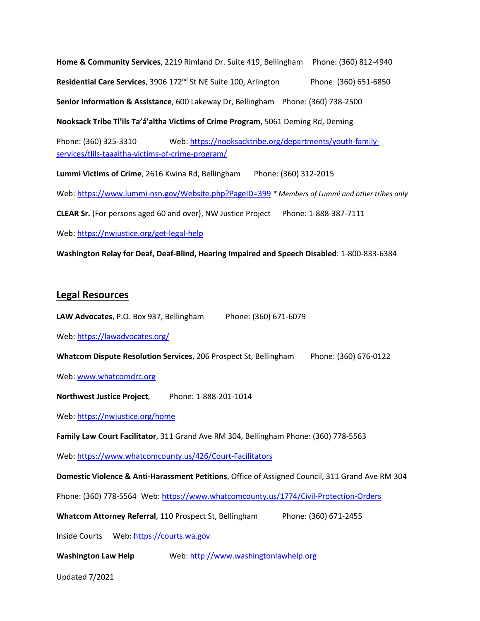**Home & Community Services**, 2219 Rimland Dr. Suite 419, Bellingham Phone: (360) 812-4940 **Residential Care Services**, 3906 172<sup>nd</sup> St NE Suite 100, Arlington Phone: (360) 651-6850 **Senior Information & Assistance**, 600 Lakeway Dr, Bellingham Phone: (360) 738-2500

**Nooksack Tribe Tl'ils Ta'á'altha Victims of Crime Program**, 5061 Deming Rd, Deming

Phone: (360) 325-3310 Web[: https://nooksacktribe.org/departments/youth-family](https://nooksacktribe.org/departments/youth-family-services/tlils-taaaltha-victims-of-crime-program/)[services/tlils-taaaltha-victims-of-crime-program/](https://nooksacktribe.org/departments/youth-family-services/tlils-taaaltha-victims-of-crime-program/)

**Lummi Victims of Crime**, 2616 Kwina Rd, Bellingham Phone: (360) 312-2015

Web[: https://www.lummi-nsn.gov/Website.php?PageID=399](https://www.lummi-nsn.gov/Website.php?PageID=399) *\* Members of Lummi and other tribes only*

**CLEAR Sr.** (For persons aged 60 and over), NW Justice Project Phone: 1-888-387-7111

Web[: https://nwjustice.org/get-legal-help](https://nwjustice.org/get-legal-help)

**Washington Relay for Deaf, Deaf-Blind, Hearing Impaired and Speech Disabled**: 1-800-833-6384

#### **Legal Resources**

**LAW Advocates**, P.O. Box 937, Bellingham Phone: (360) 671-6079

Web[: https://lawadvocates.org/](https://lawadvocates.org/)

**Whatcom Dispute Resolution Services**, 206 Prospect St, Bellingham Phone: (360) 676-0122

Web[: www.whatcomdrc.org](http://www.whatcomdrc.org/)

**Northwest Justice Project**, Phone: 1-888-201-1014

Web[: https://nwjustice.org/home](https://nwjustice.org/home)

**Family Law Court Facilitator**, 311 Grand Ave RM 304, Bellingham Phone: (360) 778-5563

Web[: https://www.whatcomcounty.us/426/Court-Facilitators](https://www.whatcomcounty.us/426/Court-Facilitators)

**Domestic Violence & Anti-Harassment Petitions**, Office of Assigned Council, 311 Grand Ave RM 304

Phone: (360) 778-5564 Web[: https://www.whatcomcounty.us/1774/Civil-Protection-Orders](https://www.whatcomcounty.us/1774/Civil-Protection-Orders)

**Whatcom Attorney Referral, 110 Prospect St, Bellingham Phone: (360) 671-2455** 

Inside Courts Web[: https://courts.wa.gov](https://courts.wa.gov/)

**Washington Law Help** Web[: http://www.washingtonlawhelp.org](http://www.washingtonlawhelp.org/)

Updated 7/2021